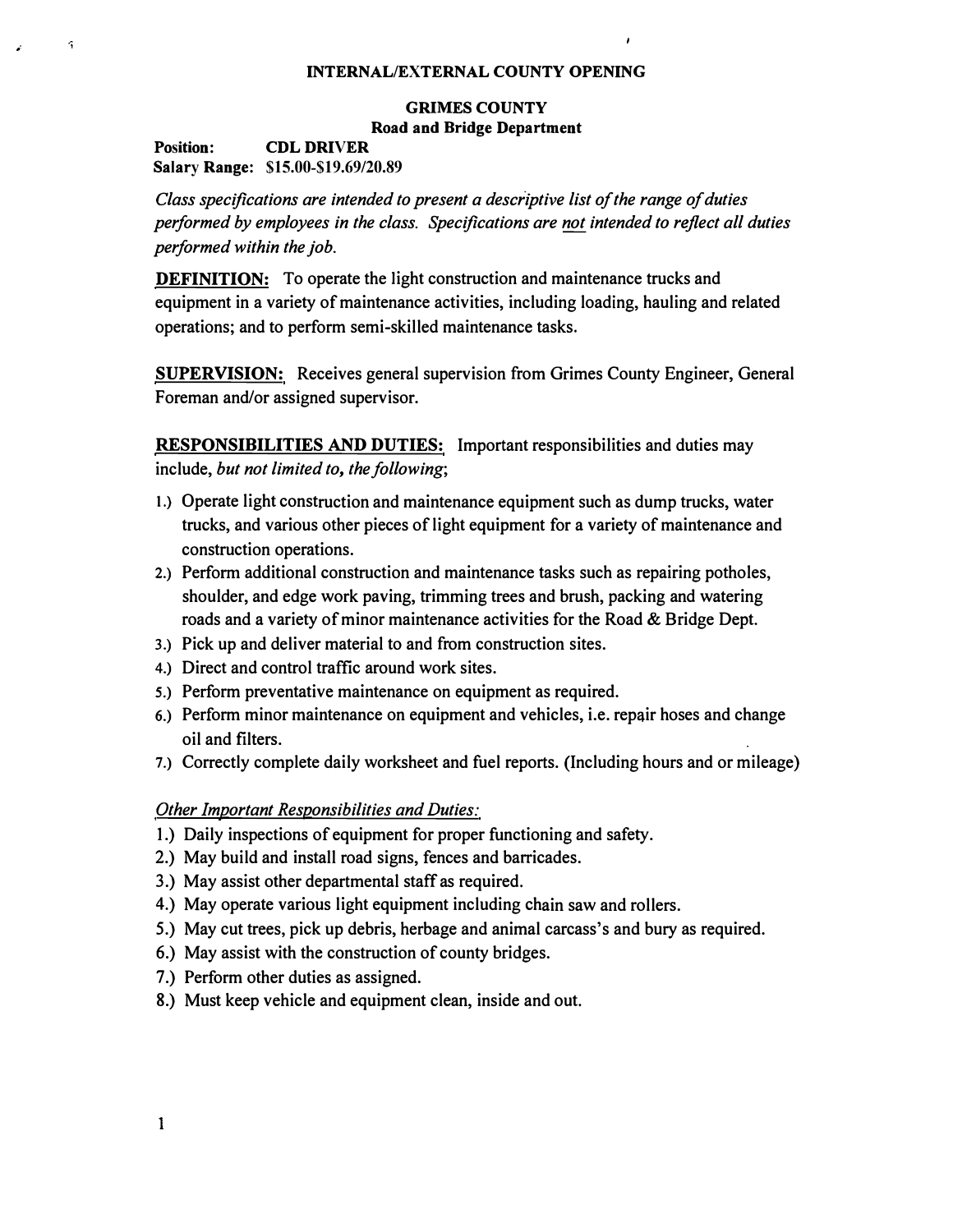#### **INTERNAL/EXTERNAL COUNTY OPENING**

## **GRIMES COUNTY Road and Bridge Department**

**Position: CDL DRIVER Salary Range: \$15.00-\$19.69/20.89**

 $\hat{\mathbf{r}}$ 

*Class specifications are intended to present a descriptive list of the range of duties performed by employees in the class. Specifications are not intended to reflect all duties performed within thejob.*

**DEFINITION:** To operate the light construction and maintenance trucks and **equipment in a variety of maintenance activities, including loading, hauling and related operations; and to perform semi-skilled maintenance tasks.** 

**SUPERVISION: Receives general supervision from Grimes County Engineer, General Foreman and/or assigned supervisor.** 

**RESPONSIBILITIES AND DUTIES: Important responsibilities and duties may include,** *but not limited to, the following;* 

- **I.) Operate light construction and maintenance equipment such as dump trucks, water trucks, and various other pieces of light equipment for a variety of maintenance and construction operations.**
- 2.) **Perform additional construction and maintenance tasks such as repairing potholes, shoulder, and edge work paving, trimming trees and brush, packing and watering roads and a variety of minor maintenance activities for the Road & Bridge Dept.**
- 3.) **Pick up and deliver material to and from construction sites.**
- 4.) **Direct and control traffic around work sites.**
- **5.) Perform preventative maintenance on equipment as required.**
- 6.) Perform minor maintenance on equipment and vehicles, i.e. repair hoses and change **oil and filters.**
- **7.) Correctly complete daily worksheet and fuel reports. (Including hours and or mileage)**

### *Other Important Responsibilities and Duties:*

- **1.) Daily inspections of equipment for proper functioning and safety.**
- **2.) May build and install road signs, fences and barricades.**
- **3.) May assist other departmental staff as required.**
- **4.) May operate various light equipment including chain saw and rollers.**
- **5.) May cut trees, pick up debris, herbage and animal carcass's and bury as required.**
- **6.) May assist with the construction of county bridges.**
- **7.) Perform other duties as assigned.**
- **8.) Must keep vehicle and equipment clean, inside and out.**